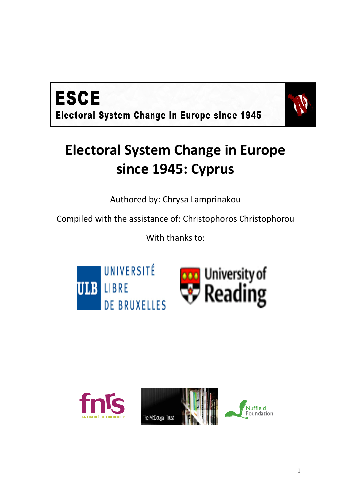



# **Electoral System Change in Europe since 1945: Cyprus**

Authored by: Chrysa Lamprinakou

Compiled with the assistance of: Christophoros Christophorou

With thanks to:



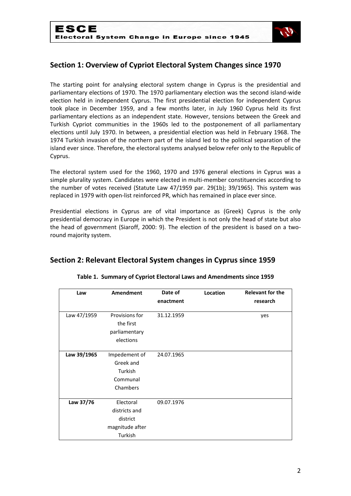

# **Section 1: Overview of Cypriot Electoral System Changes since 1970**

The starting point for analysing electoral system change in Cyprus is the presidential and parliamentary elections of 1970. The 1970 parliamentary election was the second island-wide election held in independent Cyprus. The first presidential election for independent Cyprus took place in December 1959, and a few months later, in July 1960 Cyprus held its first parliamentary elections as an independent state. However, tensions between the Greek and Turkish Cypriot communities in the 1960s led to the postponement of all parliamentary elections until July 1970. In between, a presidential election was held in February 1968. The 1974 Turkish invasion of the northern part of the island led to the political separation of the island ever since. Therefore, the electoral systems analysed below refer only to the Republic of Cyprus.

The electoral system used for the 1960, 1970 and 1976 general elections in Cyprus was a simple plurality system. Candidates were elected in multi-member constituencies according to the number of votes received (Statute Law 47/1959 par. 29(1b); 39/1965). This system was replaced in 1979 with open-list reinforced PR, which has remained in place ever since.

Presidential elections in Cyprus are of vital importance as (Greek) Cyprus is the only presidential democracy in Europe in which the President is not only the head of state but also the head of government (Siaroff, 2000: 9). The election of the president is based on a tworound majority system.

# **Section 2: Relevant Electoral System changes in Cyprus since 1959**

| Law         | Amendment                                                            | Date of    | Location | <b>Relevant for the</b> |
|-------------|----------------------------------------------------------------------|------------|----------|-------------------------|
|             |                                                                      | enactment  |          | research                |
| Law 47/1959 | Provisions for<br>the first<br>parliamentary<br>elections            | 31.12.1959 |          | yes                     |
| Law 39/1965 | Impedement of<br>Greek and<br>Turkish<br>Communal<br>Chambers        | 24.07.1965 |          |                         |
| Law 37/76   | Electoral<br>districts and<br>district<br>magnitude after<br>Turkish | 09.07.1976 |          |                         |

#### **Table 1. Summary of Cypriot Electoral Laws and Amendments since 1959**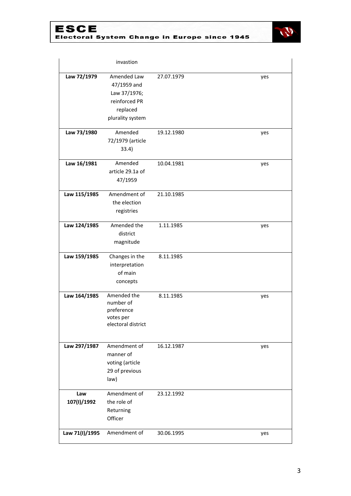



|                    | invastion                                                                                   |            |     |
|--------------------|---------------------------------------------------------------------------------------------|------------|-----|
| Law 72/1979        | Amended Law<br>47/1959 and<br>Law 37/1976;<br>reinforced PR<br>replaced<br>plurality system | 27.07.1979 | yes |
| Law 73/1980        | Amended<br>72/1979 (article<br>33.4)                                                        | 19.12.1980 | yes |
| Law 16/1981        | Amended<br>article 29.1a of<br>47/1959                                                      | 10.04.1981 | yes |
| Law 115/1985       | Amendment of<br>the election<br>registries                                                  | 21.10.1985 |     |
| Law 124/1985       | Amended the<br>district<br>magnitude                                                        | 1.11.1985  | yes |
| Law 159/1985       | Changes in the<br>interpretation<br>of main<br>concepts                                     | 8.11.1985  |     |
| Law 164/1985       | Amended the<br>number of<br>preference<br>votes per<br>electoral district                   | 8.11.1985  | yes |
| Law 297/1987       | Amendment of<br>manner of<br>voting (article<br>29 of previous<br>law)                      | 16.12.1987 | yes |
| Law<br>107(I)/1992 | Amendment of<br>the role of<br>Returning<br>Officer                                         | 23.12.1992 |     |
| Law 71(I)/1995     | Amendment of                                                                                | 30.06.1995 | yes |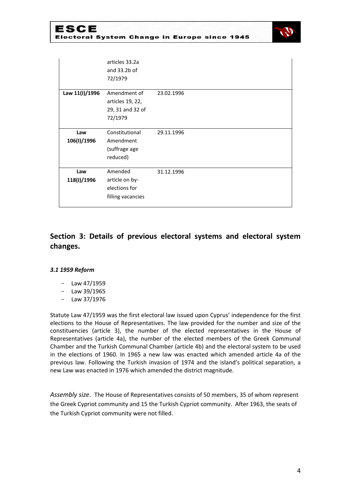

|                    | articles 33.2a<br>and 33.2b of<br>72/1979                       |            |
|--------------------|-----------------------------------------------------------------|------------|
| Law 11(I)/1996     | Amendment of<br>articles 19, 22,<br>29, 31 and 32 of<br>72/1979 | 23.02.1996 |
| Law<br>106(I)/1996 | Constitutional<br>Amendment<br>(suffrage age<br>reduced)        | 29.11.1996 |
| Law<br>118(I)/1996 | Amended<br>article on by-<br>elections for<br>filling vacancies | 31.12.1996 |

# **Section 3: Details of previous electoral systems and electoral system changes.**

#### *3.1 1959 Reform*

- Law 47/1959
- Law 39/1965
- Law 37/1976

Statute Law 47/1959 was the first electoral law issued upon Cyprus' independence for the first elections to the House of Representatives. The law provided for the number and size of the constituencies (article 3), the number of the elected representatives in the House of Representatives (article 4a), the number of the elected members of the Greek Communal Chamber and the Turkish Communal Chamber (article 4b) and the electoral system to be used in the elections of 1960. In 1965 a new law was enacted which amended article 4a of the previous law. Following the Turkish invasion of 1974 and the island's political separation, a new Law was enacted in 1976 which amended the district magnitude.

*Assembly size*. The House of Representatives consists of 50 members, 35 of whom represent the Greek Cypriot community and 15 the Turkish Cypriot community. After 1963, the seats of the Turkish Cypriot community were not filled.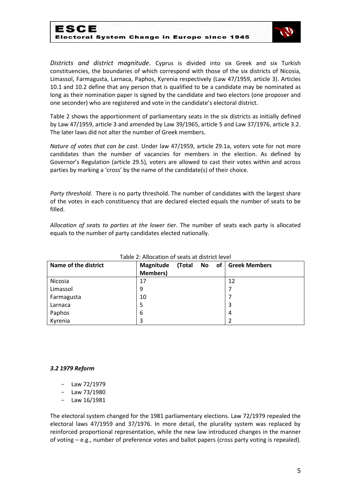## ESCE Electoral System Change in Europe since 1945



*Districts and district magnitude*. Cyprus is divided into six Greek and six Turkish constituencies, the boundaries of which correspond with those of the six districts of Nicosia, Limassol, Farmagusta, Larnaca, Paphos, Kyrenia respectively (Law 47/1959, article 3). Articles 10.1 and 10.2 define that any person that is qualified to be a candidate may be nominated as long as their nomination paper is signed by the candidate and two electors (one proposer and one seconder) who are registered and vote in the candidate's electoral district.

Table 2 shows the apportionment of parliamentary seats in the six districts as initially defined by Law 47/1959, article 3 and amended by Law 39/1965, article 5 and Law 37/1976, article 3.2. The later laws did not alter the number of Greek members.

*Nature of votes that can be cast*. Under law 47/1959, article 29.1a, voters vote for not more candidates than the number of vacancies for members in the election. As defined by Governor's Regulation (article 29.5), voters are allowed to cast their votes within and across parties by marking a 'cross' by the name of the candidate(s) of their choice.

*Party threshold*. There is no party threshold. The number of candidates with the largest share of the votes in each constituency that are declared elected equals the number of seats to be filled.

*Allocation of seats to parties at the lower tier*. The number of seats each party is allocated equals to the number of party candidates elected nationally.

| Name of the district | Magnitude       | (Total | No. | of | <b>Greek Members</b> |
|----------------------|-----------------|--------|-----|----|----------------------|
|                      | <b>Members)</b> |        |     |    |                      |
| Nicosia              | 17              |        |     |    | 12                   |
| Limassol             | 9               |        |     |    |                      |
| Farmagusta           | 10              |        |     |    |                      |
| Larnaca              | 5               |        |     |    | 3                    |
| Paphos               | 6               |        |     |    | 4                    |
| Kyrenia              | 3               |        |     |    |                      |

#### Table 2: Allocation of seats at district level

#### *3.2 1979 Reform*

- Law 72/1979
- Law 73/1980
- Law 16/1981

The electoral system changed for the 1981 parliamentary elections. Law 72/1979 repealed the electoral laws 47/1959 and 37/1976. In more detail, the plurality system was replaced by reinforced proportional representation, while the new law introduced changes in the manner of voting – e.g., number of preference votes and ballot papers (cross party voting is repealed).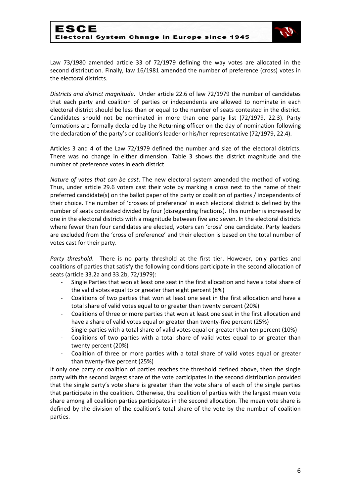

Law 73/1980 amended article 33 of 72/1979 defining the way votes are allocated in the second distribution. Finally, law 16/1981 amended the number of preference (cross) votes in the electoral districts.

*Districts and district magnitude*. Under article 22.6 of law 72/1979 the number of candidates that each party and coalition of parties or independents are allowed to nominate in each electoral district should be less than or equal to the number of seats contested in the district. Candidates should not be nominated in more than one party list (72/1979, 22.3). Party formations are formally declared by the Returning officer on the day of nomination following the declaration of the party's or coalition's leader or his/her representative (72/1979, 22.4).

Articles 3 and 4 of the Law 72/1979 defined the number and size of the electoral districts. There was no change in either dimension. Table 3 shows the district magnitude and the number of preference votes in each district.

*Nature of votes that can be cast*. The new electoral system amended the method of voting. Thus, under article 29.6 voters cast their vote by marking a cross next to the name of their preferred candidate(s) on the ballot paper of the party or coalition of parties / independents of their choice. The number of 'crosses of preference' in each electoral district is defined by the number of seats contested divided by four (disregarding fractions). This number is increased by one in the electoral districts with a magnitude between five and seven. In the electoral districts where fewer than four candidates are elected, voters can 'cross' one candidate. Party leaders are excluded from the 'cross of preference' and their election is based on the total number of votes cast for their party.

*Party threshold*. There is no party threshold at the first tier. However, only parties and coalitions of parties that satisfy the following conditions participate in the second allocation of seats (article 33.2a and 33.2b, 72/1979):

- Single Parties that won at least one seat in the first allocation and have a total share of the valid votes equal to or greater than eight percent (8%)
- Coalitions of two parties that won at least one seat in the first allocation and have a total share of valid votes equal to or greater than twenty percent (20%)
- Coalitions of three or more parties that won at least one seat in the first allocation and have a share of valid votes equal or greater than twenty-five percent (25%)
- Single parties with a total share of valid votes equal or greater than ten percent (10%)
- Coalitions of two parties with a total share of valid votes equal to or greater than twenty percent (20%)
- Coalition of three or more parties with a total share of valid votes equal or greater than twenty-five percent (25%)

If only one party or coalition of parties reaches the threshold defined above, then the single party with the second largest share of the vote participates in the second distribution provided that the single party's vote share is greater than the vote share of each of the single parties that participate in the coalition. Otherwise, the coalition of parties with the largest mean vote share among all coalition parties participates in the second allocation. The mean vote share is defined by the division of the coalition's total share of the vote by the number of coalition parties.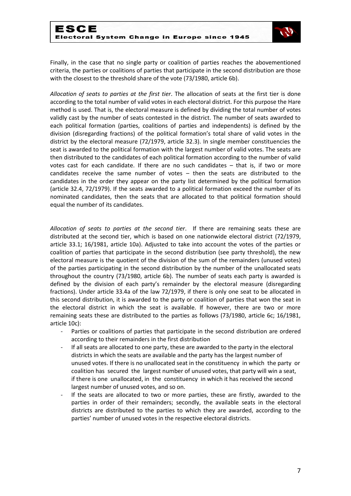

Finally, in the case that no single party or coalition of parties reaches the abovementioned criteria, the parties or coalitions of parties that participate in the second distribution are those with the closest to the threshold share of the vote (73/1980, article 6b).

*Allocation of seats to parties at the first tier*. The allocation of seats at the first tier is done according to the total number of valid votes in each electoral district. For this purpose the Hare method is used. That is, the electoral measure is defined by dividing the total number of votes validly cast by the number of seats contested in the district. The number of seats awarded to each political formation (parties, coalitions of parties and independents) is defined by the division (disregarding fractions) of the political formation's total share of valid votes in the district by the electoral measure (72/1979, article 32.3). In single member constituencies the seat is awarded to the political formation with the largest number of valid votes. The seats are then distributed to the candidates of each political formation according to the number of valid votes cast for each candidate. If there are no such candidates – that is, if two or more candidates receive the same number of votes – then the seats are distributed to the candidates in the order they appear on the party list determined by the political formation (article 32.4, 72/1979). If the seats awarded to a political formation exceed the number of its nominated candidates, then the seats that are allocated to that political formation should equal the number of its candidates.

*Allocation of seats to parties at the second tier*. If there are remaining seats these are distributed at the second tier, which is based on one nationwide electoral district (72/1979, article 33.1; 16/1981, article 10a). Adjusted to take into account the votes of the parties or coalition of parties that participate in the second distribution (see party threshold), the new electoral measure is the quotient of the division of the sum of the remainders (unused votes) of the parties participating in the second distribution by the number of the unallocated seats throughout the country (73/1980, article 6b). The number of seats each party is awarded is defined by the division of each party's remainder by the electoral measure (disregarding fractions). Under article 33.4a of the law 72/1979, if there is only one seat to be allocated in this second distribution, it is awarded to the party or coalition of parties that won the seat in the electoral district in which the seat is available. If however, there are two or more remaining seats these are distributed to the parties as follows (73/1980, article 6c; 16/1981, article 10c):

- Parties or coalitions of parties that participate in the second distribution are ordered according to their remainders in the first distribution
- If all seats are allocated to one party, these are awarded to the party in the electoral districts in which the seats are available and the party has the largest number of unused votes. If there is no unallocated seat in the constituency in which the party or coalition has secured the largest number of unused votes, that party will win a seat, if there is one unallocated, in the constituency in which it has received the second largest number of unused votes, and so on.
- If the seats are allocated to two or more parties, these are firstly, awarded to the parties in order of their remainders; secondly, the available seats in the electoral districts are distributed to the parties to which they are awarded, according to the parties' number of unused votes in the respective electoral districts.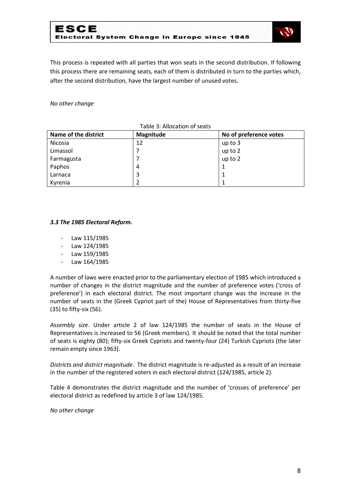

This process is repeated with all parties that won seats in the second distribution. If following this process there are remaining seats, each of them is distributed in turn to the parties which, after the second distribution, have the largest number of unused votes.

*No other change*

| Name of the district | Magnitude | No of preference votes |
|----------------------|-----------|------------------------|
| Nicosia              | 12        | up to 3                |
| Limassol             |           | up to 2                |
| Farmagusta           |           | up to 2                |
| Paphos               | 4         |                        |
| Larnaca              | 3         |                        |
| Kyrenia              |           |                        |

#### Table 3: Allocation of seats

#### *3.3 The 1985 Electoral Reform.*

- Law 115/1985
- Law 124/1985
- Law 159/1985
- Law 164/1985

A number of laws were enacted prior to the parliamentary election of 1985 which introduced a number of changes in the district magnitude and the number of preference votes ('cross of preference') in each electoral district. The most important change was the increase in the number of seats in the (Greek Cypriot part of the) House of Representatives from thirty-five (35) to fifty-six (56).

*Assembly size*. Under article 2 of law 124/1985 the number of seats in the House of Representatives is increased to 56 (Greek members). It should be noted that the total number of seats is eighty (80); fifty-six Greek Cypriots and twenty-four (24) Turkish Cypriots (the later remain empty since 1963).

*Districts and district magnitude*. The district magnitude is re-adjusted as a result of an increase in the number of the registered voters in each electoral district (124/1985, article 2).

Table 4 demonstrates the district magnitude and the number of 'crosses of preference' per electoral district as redefined by article 3 of law 124/1985.

*No other change*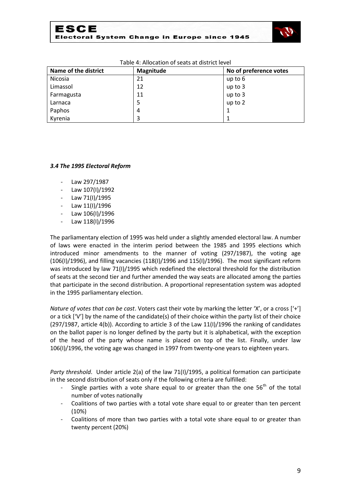

| Name of the district | Magnitude | No of preference votes |
|----------------------|-----------|------------------------|
| Nicosia              | 21        | up to $6$              |
| Limassol             | 12        | up to 3                |
| Farmagusta           | 11        | up to 3                |
| Larnaca              | 5         | up to 2                |
| Paphos               | 4         |                        |
| Kyrenia              | 3         |                        |

#### Table 4: Allocation of seats at district level

#### *3.4 The 1995 Electoral Reform*

- Law 297/1987
- Law 107(I)/1992
- Law 71(I)/1995
- Law 11(I)/1996
- Law 106(I)/1996
- Law 118(I)/1996

The parliamentary election of 1995 was held under a slightly amended electoral law. A number of laws were enacted in the interim period between the 1985 and 1995 elections which introduced minor amendments to the manner of voting (297/1987), the voting age (106(I)/1996), and filling vacancies (118(I)/1996 and 115(I)/1996). The most significant reform was introduced by law 71(I)/1995 which redefined the electoral threshold for the distribution of seats at the second tier and further amended the way seats are allocated among the parties that participate in the second distribution. A proportional representation system was adopted in the 1995 parliamentary election.

*Nature of votes that can be cast*. Voters cast their vote by marking the letter 'X', or a cross ['+'] or a tick ['V'] by the name of the candidate(s) of their choice within the party list of their choice (297/1987, article 4(b)). According to article 3 of the Law 11(I)/1996 the ranking of candidates on the ballot paper is no longer defined by the party but it is alphabetical, with the exception of the head of the party whose name is placed on top of the list. Finally, under law 106(I)/1996, the voting age was changed in 1997 from twenty-one years to eighteen years.

*Party threshold*. Under article 2(a) of the law 71(I)/1995, a political formation can participate in the second distribution of seats only if the following criteria are fulfilled:

- Single parties with a vote share equal to or greater than the one  $56<sup>th</sup>$  of the total number of votes nationally
- Coalitions of two parties with a total vote share equal to or greater than ten percent (10%)
- Coalitions of more than two parties with a total vote share equal to or greater than twenty percent (20%)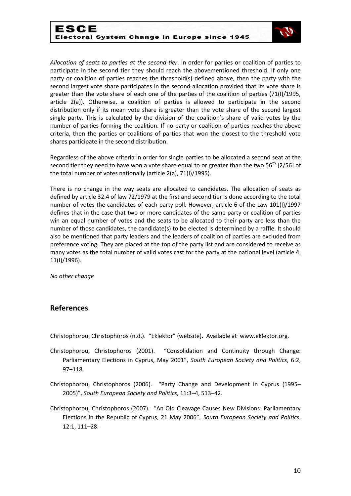

*Allocation of seats to parties at the second tier*. In order for parties or coalition of parties to participate in the second tier they should reach the abovementioned threshold. If only one party or coalition of parties reaches the threshold(s) defined above, then the party with the second largest vote share participates in the second allocation provided that its vote share is greater than the vote share of each one of the parties of the coalition of parties (71(I)/1995, article 2(a)). Otherwise, a coalition of parties is allowed to participate in the second distribution only if its mean vote share is greater than the vote share of the second largest single party. This is calculated by the division of the coalition's share of valid votes by the number of parties forming the coalition. If no party or coalition of parties reaches the above criteria, then the parties or coalitions of parties that won the closest to the threshold vote shares participate in the second distribution.

Regardless of the above criteria in order for single parties to be allocated a second seat at the second tier they need to have won a vote share equal to or greater than the two  $56<sup>th</sup>$  [2/56] of the total number of votes nationally (article 2(a), 71(I)/1995).

There is no change in the way seats are allocated to candidates. The allocation of seats as defined by article 32.4 of law 72/1979 at the first and second tier is done according to the total number of votes the candidates of each party poll. However, article 6 of the Law 101(I)/1997 defines that in the case that two or more candidates of the same party or coalition of parties win an equal number of votes and the seats to be allocated to their party are less than the number of those candidates, the candidate(s) to be elected is determined by a raffle. It should also be mentioned that party leaders and the leaders of coalition of parties are excluded from preference voting. They are placed at the top of the party list and are considered to receive as many votes as the total number of valid votes cast for the party at the national level (article 4, 11(I)/1996).

*No other change*

## **References**

Christophorou. Christophoros (n.d.). "Eklektor" (website). Available at www.eklektor.org.

- Christophorou, Christophoros (2001). "Consolidation and Continuity through Change: Parliamentary Elections in Cyprus, May 2001", *South European Society and Politics*, 6:2, 97–118.
- Christophorou, Christophoros (2006). "Party Change and Development in Cyprus (1995– 2005)", *South European Society and Politics*, 11:3–4, 513–42.
- Christophorou, Christophoros (2007). "An Old Cleavage Causes New Divisions: Parliamentary Elections in the Republic of Cyprus, 21 May 2006", *South European Society and Politics*, 12:1, 111–28.